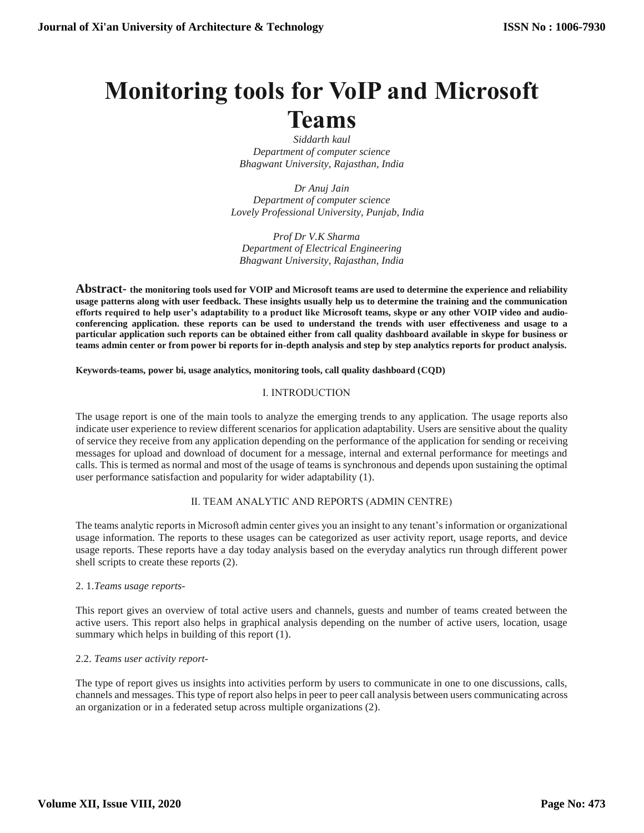# **Monitoring tools for VoIP and Microsoft Teams**

*Siddarth kaul Department of computer science Bhagwant University, Rajasthan, India*

*Dr Anuj Jain Department of computer science Lovely Professional University, Punjab, India*

 *Prof Dr V.K Sharma Department of Electrical Engineering Bhagwant University, Rajasthan, India*

**Abstract- the monitoring tools used for VOIP and Microsoft teams are used to determine the experience and reliability usage patterns along with user feedback. These insights usually help us to determine the training and the communication efforts required to help user's adaptability to a product like Microsoft teams, skype or any other VOIP video and audioconferencing application. these reports can be used to understand the trends with user effectiveness and usage to a particular application such reports can be obtained either from call quality dashboard available in skype for business or teams admin center or from power bi reports for in-depth analysis and step by step analytics reports for product analysis.**

**Keywords-teams, power bi, usage analytics, monitoring tools, call quality dashboard (CQD)**

# Ⅰ. INTRODUCTION

The usage report is one of the main tools to analyze the emerging trends to any application. The usage reports also indicate user experience to review different scenarios for application adaptability. Users are sensitive about the quality of service they receive from any application depending on the performance of the application for sending or receiving messages for upload and download of document for a message, internal and external performance for meetings and calls. This is termed as normal and most of the usage of teams is synchronous and depends upon sustaining the optimal user performance satisfaction and popularity for wider adaptability (1).

# Ⅱ. TEAM ANALYTIC AND REPORTS (ADMIN CENTRE)

The teams analytic reports in Microsoft admin center gives you an insight to any tenant's information or organizational usage information. The reports to these usages can be categorized as user activity report, usage reports, and device usage reports. These reports have a day today analysis based on the everyday analytics run through different power shell scripts to create these reports (2).

#### 2. 1.*Teams usage reports-*

This report gives an overview of total active users and channels, guests and number of teams created between the active users. This report also helps in graphical analysis depending on the number of active users, location, usage summary which helps in building of this report (1).

# 2.2. *Teams user activity report-*

The type of report gives us insights into activities perform by users to communicate in one to one discussions, calls, channels and messages. This type of report also helps in peer to peer call analysis between users communicating across an organization or in a federated setup across multiple organizations (2).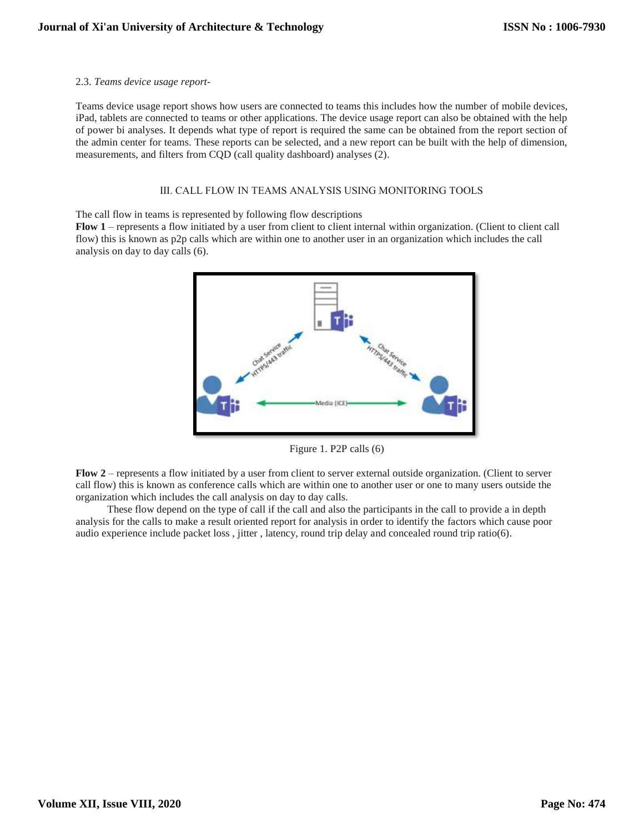#### 2.3. *Teams device usage report-*

Teams device usage report shows how users are connected to teams this includes how the number of mobile devices, iPad, tablets are connected to teams or other applications. The device usage report can also be obtained with the help of power bi analyses. It depends what type of report is required the same can be obtained from the report section of the admin center for teams. These reports can be selected, and a new report can be built with the help of dimension, measurements, and filters from CQD (call quality dashboard) analyses (2).

#### Ⅲ. CALL FLOW IN TEAMS ANALYSIS USING MONITORING TOOLS

The call flow in teams is represented by following flow descriptions

**Flow 1** – represents a flow initiated by a user from client to client internal within organization. (Client to client call flow) this is known as p2p calls which are within one to another user in an organization which includes the call analysis on day to day calls (6).



Figure 1. P2P calls (6)

**Flow 2** – represents a flow initiated by a user from client to server external outside organization. (Client to server call flow) this is known as conference calls which are within one to another user or one to many users outside the organization which includes the call analysis on day to day calls.

 These flow depend on the type of call if the call and also the participants in the call to provide a in depth analysis for the calls to make a result oriented report for analysis in order to identify the factors which cause poor audio experience include packet loss , jitter , latency, round trip delay and concealed round trip ratio(6).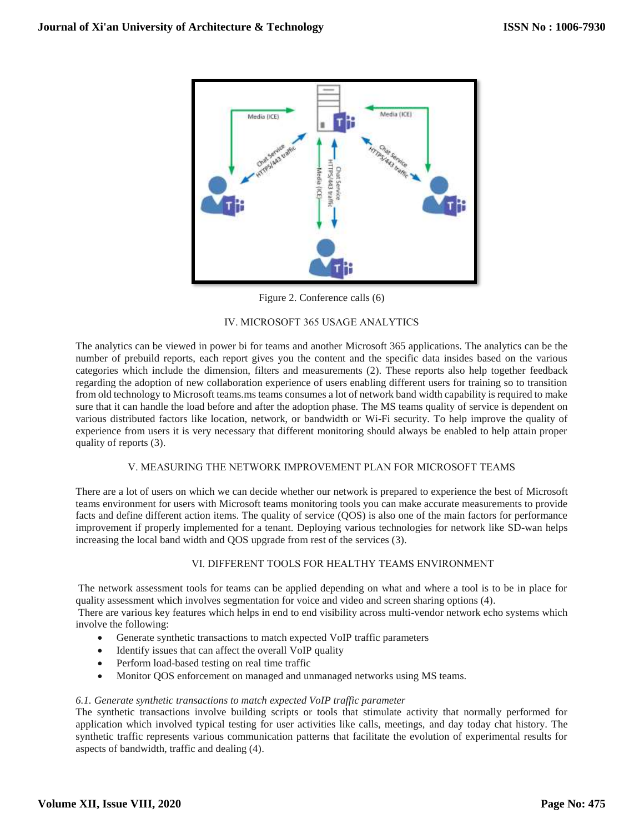

Figure 2. Conference calls (6)

## Ⅳ. MICROSOFT 365 USAGE ANALYTICS

The analytics can be viewed in power bi for teams and another Microsoft 365 applications. The analytics can be the number of prebuild reports, each report gives you the content and the specific data insides based on the various categories which include the dimension, filters and measurements (2). These reports also help together feedback regarding the adoption of new collaboration experience of users enabling different users for training so to transition from old technology to Microsoft teams.ms teams consumes a lot of network band width capability is required to make sure that it can handle the load before and after the adoption phase. The MS teams quality of service is dependent on various distributed factors like location, network, or bandwidth or Wi-Fi security. To help improve the quality of experience from users it is very necessary that different monitoring should always be enabled to help attain proper quality of reports (3).

#### Ⅴ. MEASURING THE NETWORK IMPROVEMENT PLAN FOR MICROSOFT TEAMS

There are a lot of users on which we can decide whether our network is prepared to experience the best of Microsoft teams environment for users with Microsoft teams monitoring tools you can make accurate measurements to provide facts and define different action items. The quality of service (QOS) is also one of the main factors for performance improvement if properly implemented for a tenant. Deploying various technologies for network like SD-wan helps increasing the local band width and QOS upgrade from rest of the services (3).

# Ⅵ. DIFFERENT TOOLS FOR HEALTHY TEAMS ENVIRONMENT

The network assessment tools for teams can be applied depending on what and where a tool is to be in place for quality assessment which involves segmentation for voice and video and screen sharing options (4).

There are various key features which helps in end to end visibility across multi-vendor network echo systems which involve the following:

- Generate synthetic transactions to match expected VoIP traffic parameters
- Identify issues that can affect the overall VoIP quality
- Perform load-based testing on real time traffic
- Monitor QOS enforcement on managed and unmanaged networks using MS teams.

#### *6.1. Generate synthetic transactions to match expected VoIP traffic parameter*

The synthetic transactions involve building scripts or tools that stimulate activity that normally performed for application which involved typical testing for user activities like calls, meetings, and day today chat history. The synthetic traffic represents various communication patterns that facilitate the evolution of experimental results for aspects of bandwidth, traffic and dealing (4).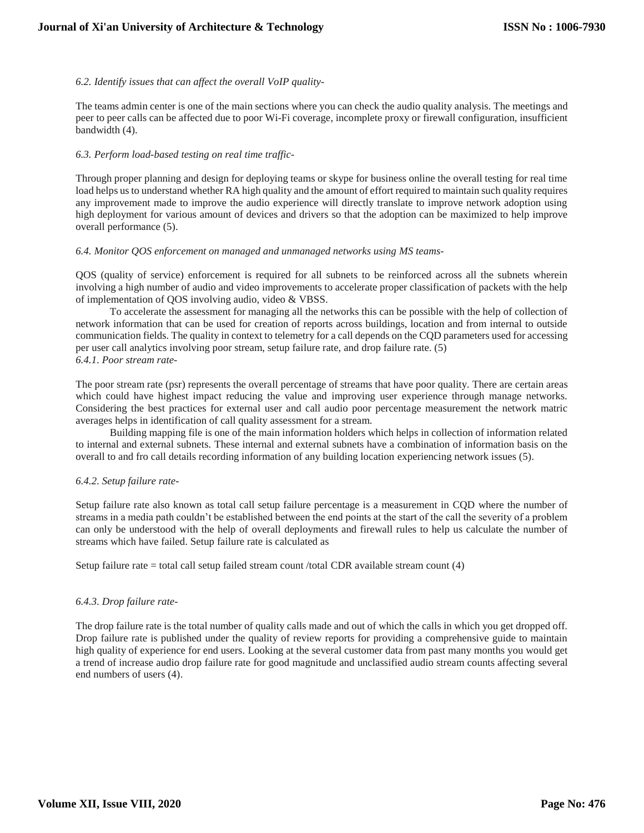## *6.2. Identify issues that can affect the overall VoIP quality-*

The teams admin center is one of the main sections where you can check the audio quality analysis. The meetings and peer to peer calls can be affected due to poor Wi-Fi coverage, incomplete proxy or firewall configuration, insufficient bandwidth (4).

#### *6.3. Perform load-based testing on real time traffic-*

Through proper planning and design for deploying teams or skype for business online the overall testing for real time load helps us to understand whether RA high quality and the amount of effort required to maintain such quality requires any improvement made to improve the audio experience will directly translate to improve network adoption using high deployment for various amount of devices and drivers so that the adoption can be maximized to help improve overall performance (5).

#### *6.4. Monitor QOS enforcement on managed and unmanaged networks using MS teams-*

QOS (quality of service) enforcement is required for all subnets to be reinforced across all the subnets wherein involving a high number of audio and video improvements to accelerate proper classification of packets with the help of implementation of QOS involving audio, video & VBSS.

 To accelerate the assessment for managing all the networks this can be possible with the help of collection of network information that can be used for creation of reports across buildings, location and from internal to outside communication fields. The quality in context to telemetry for a call depends on the CQD parameters used for accessing per user call analytics involving poor stream, setup failure rate, and drop failure rate. (5) *6.4.1. Poor stream rate-*

The poor stream rate (psr) represents the overall percentage of streams that have poor quality. There are certain areas which could have highest impact reducing the value and improving user experience through manage networks. Considering the best practices for external user and call audio poor percentage measurement the network matric averages helps in identification of call quality assessment for a stream.

 Building mapping file is one of the main information holders which helps in collection of information related to internal and external subnets. These internal and external subnets have a combination of information basis on the overall to and fro call details recording information of any building location experiencing network issues (5).

# *6.4.2. Setup failure rate-*

Setup failure rate also known as total call setup failure percentage is a measurement in CQD where the number of streams in a media path couldn't be established between the end points at the start of the call the severity of a problem can only be understood with the help of overall deployments and firewall rules to help us calculate the number of streams which have failed. Setup failure rate is calculated as

Setup failure rate = total call setup failed stream count /total CDR available stream count (4)

# *6.4.3. Drop failure rate-*

The drop failure rate is the total number of quality calls made and out of which the calls in which you get dropped off. Drop failure rate is published under the quality of review reports for providing a comprehensive guide to maintain high quality of experience for end users. Looking at the several customer data from past many months you would get a trend of increase audio drop failure rate for good magnitude and unclassified audio stream counts affecting several end numbers of users (4).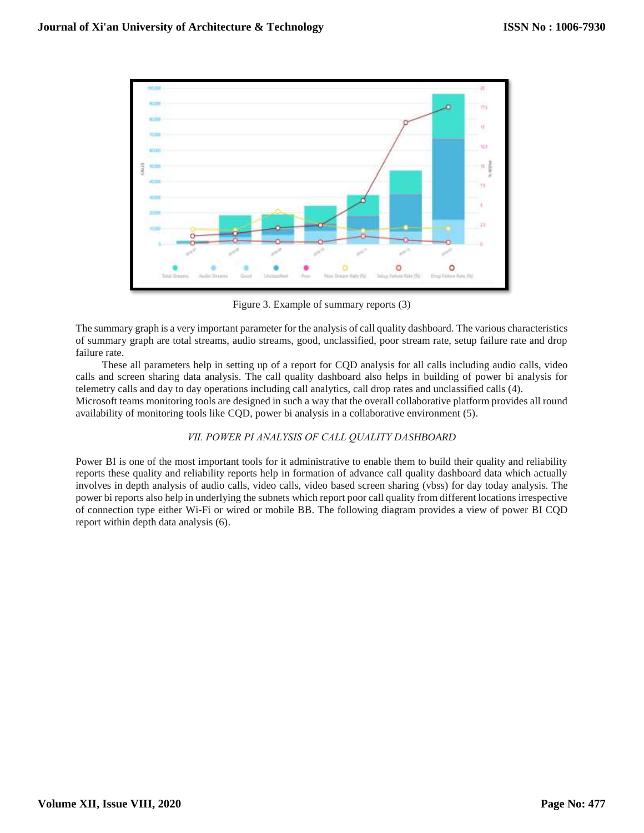

Figure 3. Example of summary reports (3)

The summary graph is a very important parameter for the analysis of call quality dashboard. The various characteristics of summary graph are total streams, audio streams, good, unclassified, poor stream rate, setup failure rate and drop failure rate.

 These all parameters help in setting up of a report for CQD analysis for all calls including audio calls, video calls and screen sharing data analysis. The call quality dashboard also helps in building of power bi analysis for telemetry calls and day to day operations including call analytics, call drop rates and unclassified calls (4). Microsoft teams monitoring tools are designed in such a way that the overall collaborative platform provides all round

availability of monitoring tools like CQD, power bi analysis in a collaborative environment (5).

# *Ⅶ. POWER PI ANALYSIS OF CALL QUALITY DASHBOARD*

Power BI is one of the most important tools for it administrative to enable them to build their quality and reliability reports these quality and reliability reports help in formation of advance call quality dashboard data which actually involves in depth analysis of audio calls, video calls, video based screen sharing (vbss) for day today analysis. The power bi reports also help in underlying the subnets which report poor call quality from different locations irrespective of connection type either Wi-Fi or wired or mobile BB. The following diagram provides a view of power BI CQD report within depth data analysis (6).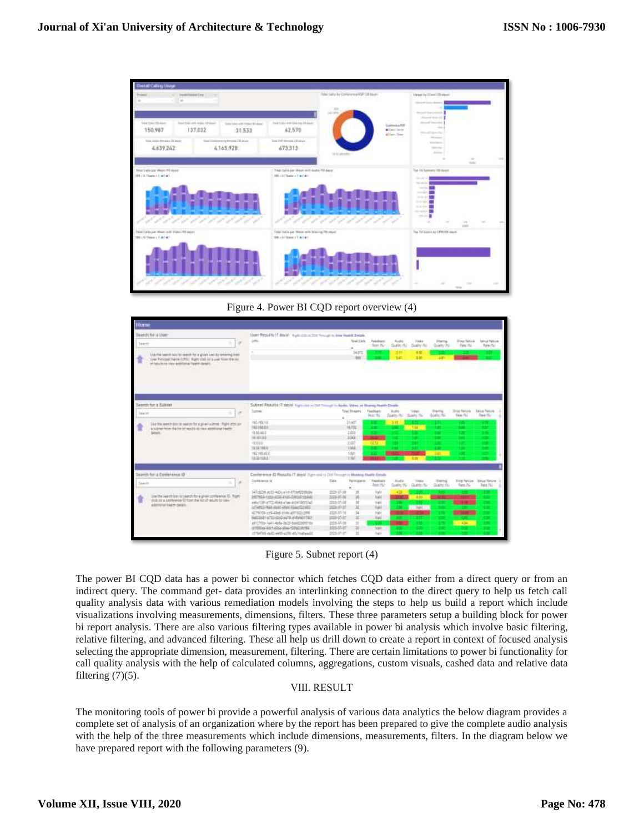

Figure 4. Power BI CQD report overview (4)

| <b><i><u>kate</u></i></b> |                                                                                                                                                                                                         |                                                                                                                    |                                 |                                     |                          |                                                   |                                                  |                                  |                                      |
|---------------------------|---------------------------------------------------------------------------------------------------------------------------------------------------------------------------------------------------------|--------------------------------------------------------------------------------------------------------------------|---------------------------------|-------------------------------------|--------------------------|---------------------------------------------------|--------------------------------------------------|----------------------------------|--------------------------------------|
| Saarm                     | Dearth for a Lisan<br>ling this search late to search for a given cast by entering lines.<br>The Pickipal Harris LOTS: Highlights and user from the LLT.<br>of telulares Lieu antitional health desiri- | State Results 17 Anyal Automobile foreign to live lease displa-<br>on.                                             | <b>Total Earls</b><br>340%<br>m | <b>Financia exe</b><br>Sept 30-     | Audio<br>10<br><b>SE</b> | <b>TRANS</b><br>Guste (6) - Guster No<br>œ<br>330 | <b>Jingma</b><br>Quality Rd<br>æ                 | <b>Zista Relink</b><br>Time (Rd) | <b>Salis A Pallicies</b><br>Turn (%) |
|                           | Search for a Subreal<br>$\sim$                                                                                                                                                                          | Subinet Pleasafer IT stays in your and to that Though to Audio. Vetras, at Sharing Hualth Desirts<br><b>Turnie</b> | Trial Hearts                    | Flashbach                           | - Audio                  |                                                   | <b>Property</b>                                  | <b>Snap Fartune</b>              | <b><i><u>Salus Falure</u></i></b>    |
| <b>Search</b>             | ÷                                                                                                                                                                                                       |                                                                                                                    |                                 | <b>Dept No.</b>                     | there its charging       |                                                   | Guide, No.                                       | Farm / N.J.                      | Tues 7G                              |
|                           | like the pasch don't make the a given scious. Page of our<br>a tubinet from the bit of results as they applicant beatty.                                                                                | 192, 163, 1.0<br>192,148,837                                                                                       | 31407<br><b>Mild</b>            | ٠                                   | $-111$                   | <b>The</b>                                        |                                                  |                                  |                                      |
|                           | Mail 11 - Village and March 11 - Wallett and                                                                                                                                                            | 10/03/40 8<br><b>INCORPORATION</b>                                                                                 | 1,005<br>3308                   |                                     |                          |                                                   |                                                  |                                  |                                      |
|                           |                                                                                                                                                                                                         | $-0.114$                                                                                                           | 3317                            | 11.11                               |                          |                                                   |                                                  |                                  |                                      |
|                           |                                                                                                                                                                                                         | 1003334832                                                                                                         | <b>TXLE</b>                     |                                     |                          |                                                   |                                                  |                                  |                                      |
|                           |                                                                                                                                                                                                         | 192, 145, 410<br><b>ISSENSE</b>                                                                                    | 132<br>1 Year                   |                                     |                          | жm                                                | œ                                                |                                  |                                      |
|                           | Dearch/for a Contenence (D)                                                                                                                                                                             | Conference ID Resolts IT does! Ramicas + DIT Throughts Meeting Paulty Details                                      |                                 |                                     |                          |                                                   |                                                  |                                  |                                      |
| Search                    | $\overline{a}$                                                                                                                                                                                          | <b>Zerikmos</b> id<br><b>Day</b>                                                                                   | <b>Rentiscipation</b>           | <b>Paulines</b><br><b>Sent (Sc)</b> | Audio                    | Index                                             | Electric<br>Sales N. Gallerie Challerie - Res No | <b>Died Nation</b>               | <b>Telup Fature</b><br>Turn (%)      |
|                           | instruousti ber trouwd for a plan comestee to Yoger                                                                                                                                                     | T47:028.013-4dic-t-1-37340208dW<br>2023-07-38                                                                      | a                               | ford                                |                          |                                                   |                                                  |                                  |                                      |
|                           | your car a commencial Children that side of require by ideas                                                                                                                                            | INTERFACISTICATION DRIVING<br>1015-05-16<br>2013-37-18<br>ARCOR (ITS 494 also additional)                          | $_{35}$                         | <b>Nati</b><br>mer                  |                          | 1.00                                              |                                                  |                                  |                                      |
|                           | additional liasics-case/a                                                                                                                                                                               | 100507-07<br>(CHRS)-RAI-days cost (Carolline))                                                                     | 35                              | <b>Sale</b>                         |                          | . has                                             |                                                  |                                  |                                      |
|                           |                                                                                                                                                                                                         | 0000-07/16<br>4279100-cr9443x6-blds-gff1125c1898                                                                   | 34                              | <b>Tupi</b>                         |                          |                                                   |                                                  |                                  |                                      |
|                           |                                                                                                                                                                                                         | 0000-05-07<br>INSIDE HYDROGEN AND CONTROL<br>all (219) - lail Libbs-2623-bold2009310/<br>2020-07-08                | x<br>$\mathbb{I}$               | <b>Yali</b>                         | ш                        |                                                   |                                                  | $-434$                           |                                      |
|                           |                                                                                                                                                                                                         | 100505-07<br>27500 as-sidd-side-size-120 plate-to-                                                                 | ×                               | TOP                                 |                          |                                                   |                                                  |                                  |                                      |
|                           |                                                                                                                                                                                                         | 2025-27-27<br>:5794716-dulti-webb-a128-ddy7twbeeplil                                                               | TI.                             | Fakit                               |                          |                                                   |                                                  |                                  |                                      |

Figure 5. Subnet report (4)

The power BI CQD data has a power bi connector which fetches CQD data either from a direct query or from an indirect query. The command get- data provides an interlinking connection to the direct query to help us fetch call quality analysis data with various remediation models involving the steps to help us build a report which include visualizations involving measurements, dimensions, filters. These three parameters setup a building block for power bi report analysis. There are also various filtering types available in power bi analysis which involve basic filtering, relative filtering, and advanced filtering. These all help us drill down to create a report in context of focused analysis selecting the appropriate dimension, measurement, filtering. There are certain limitations to power bi functionality for call quality analysis with the help of calculated columns, aggregations, custom visuals, cashed data and relative data filtering  $(7)(5)$ .

# Ⅷ. RESULT

The monitoring tools of power bi provide a powerful analysis of various data analytics the below diagram provides a complete set of analysis of an organization where by the report has been prepared to give the complete audio analysis with the help of the three measurements which include dimensions, measurements, filters. In the diagram below we have prepared report with the following parameters (9).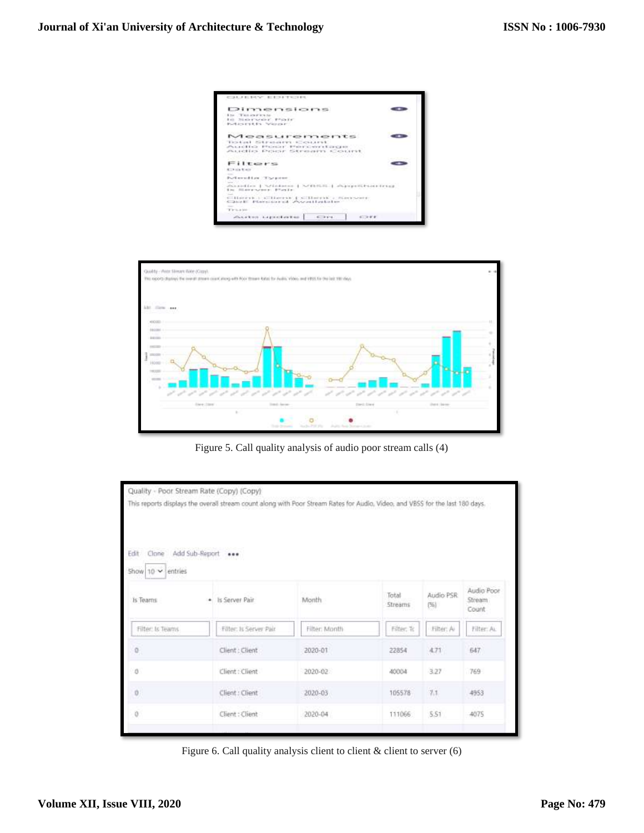



Figure 5. Call quality analysis of audio poor stream calls (4)

|                                           | Quality - Poor Stream Rate (Copy) (Copy)                                                                                      |               |                  |                   |                                |  |
|-------------------------------------------|-------------------------------------------------------------------------------------------------------------------------------|---------------|------------------|-------------------|--------------------------------|--|
|                                           | This reports displays the overall stream count along with Poor Stream Rates for Audio, Video, and VBSS for the last 180 days. |               |                  |                   |                                |  |
| Edit<br>Clone<br>Show $10 - 1$<br>entries | Add Sub-Report ***                                                                                                            |               |                  |                   |                                |  |
| Is Teams                                  | Is Server Pair                                                                                                                | Month.        | Total<br>Streams | Audio PSR<br>(56) | Audio Poor<br>Stream<br>Count. |  |
| Filter: Is Teams                          | Filter: Is Server Pair                                                                                                        | Filter: Month | Filter, To       | Filter: A         | Filter: AL                     |  |
| $0 \\$                                    | Client : Client                                                                                                               | 2020-01       | 22854            | 4.71              | 647                            |  |
| 0                                         | Client : Client                                                                                                               | 2020-02       | 40004            | 3.27              | 769                            |  |
| O.                                        | Client : Client                                                                                                               | 2020-03       | 105578           | $\gamma_{A}$      | 4953                           |  |
| $\ddot{\text{o}}$                         | Client : Client                                                                                                               | 2020-04       | 111066           | 5:51              | 4075                           |  |
|                                           |                                                                                                                               |               |                  |                   |                                |  |

Figure 6. Call quality analysis client to client & client to server (6)